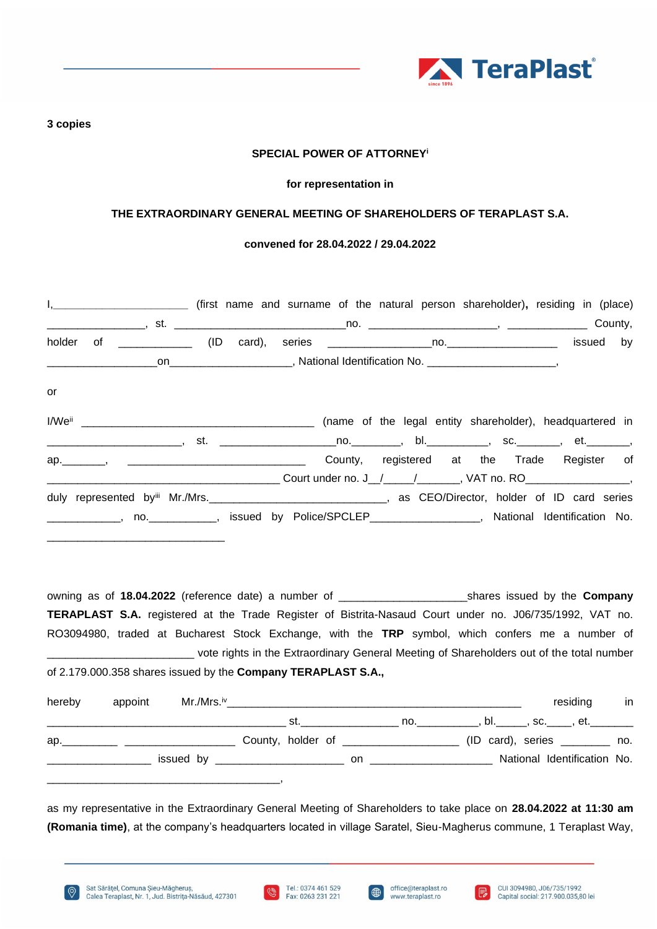

#### **3 copies**

## **SPECIAL POWER OF ATTORNEY<sup>i</sup>**

#### **for representation in**

### **THE EXTRAORDINARY GENERAL MEETING OF SHAREHOLDERS OF TERAPLAST S.A.**

#### **convened for 28.04.2022 / 29.04.2022**

|    |  | I, ________________________________ (first name and surname of the natural person shareholder), residing in (place) |  |  |  |  |
|----|--|---------------------------------------------------------------------------------------------------------------------|--|--|--|--|
|    |  |                                                                                                                     |  |  |  |  |
|    |  |                                                                                                                     |  |  |  |  |
|    |  |                                                                                                                     |  |  |  |  |
| or |  |                                                                                                                     |  |  |  |  |
|    |  | _________________________, st.  __________________________________, bl._____________, sc.__________, et.__________, |  |  |  |  |
|    |  |                                                                                                                     |  |  |  |  |
|    |  | duly represented by Mr./Mrs. _________________________________, as CEO/Director, holder of ID card series           |  |  |  |  |
|    |  | _____________, no.____________, issued by Police/SPCLEP_________________, National Identification No.               |  |  |  |  |

owning as of **18.04.2022** (reference date) a number of \_\_\_\_\_\_\_\_\_\_\_\_\_\_\_\_\_\_\_\_\_shares issued by the **Company TERAPLAST S.A.** registered at the Trade Register of Bistrita-Nasaud Court under no. J06/735/1992, VAT no. RO3094980, traded at Bucharest Stock Exchange, with the **TRP** symbol, which confers me a number of \_\_\_\_\_\_\_\_\_\_\_\_\_\_\_\_\_\_\_\_\_\_\_\_ vote rights in the Extraordinary General Meeting of Shareholders out of the total number of 2.179.000.358 shares issued by the **Company TERAPLAST S.A.,**

| hereby | appoint | $Mr.Mrs.$ <sup>iv</sup> |     |     |  |  | residing                                             | in |
|--------|---------|-------------------------|-----|-----|--|--|------------------------------------------------------|----|
|        |         |                         | st. |     |  |  | . no._____________, bl.______, sc._____, et.________ |    |
|        |         |                         |     |     |  |  | $(ID \ card), \ series \t  no.$                      |    |
|        |         |                         |     | on. |  |  | National Identification No.                          |    |
|        |         |                         |     |     |  |  |                                                      |    |

as my representative in the Extraordinary General Meeting of Shareholders to take place on **28.04.2022 at 11:30 am (Romania time)**, at the company's headquarters located in village Saratel, Sieu-Magherus commune, 1 Teraplast Way,





 $\bigoplus$ 

I R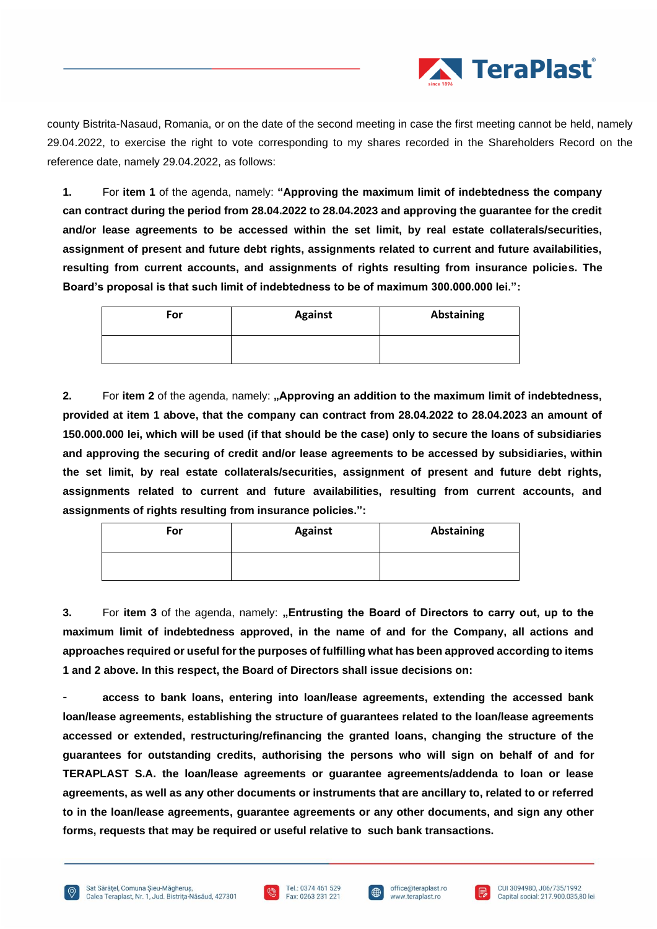

county Bistrita-Nasaud, Romania, or on the date of the second meeting in case the first meeting cannot be held, namely 29.04.2022, to exercise the right to vote corresponding to my shares recorded in the Shareholders Record on the reference date, namely 29.04.2022, as follows:

**1.** For **item 1** of the agenda, namely: **"Approving the maximum limit of indebtedness the company can contract during the period from 28.04.2022 to 28.04.2023 and approving the guarantee for the credit and/or lease agreements to be accessed within the set limit, by real estate collaterals/securities, assignment of present and future debt rights, assignments related to current and future availabilities, resulting from current accounts, and assignments of rights resulting from insurance policies. The Board's proposal is that such limit of indebtedness to be of maximum 300.000.000 lei.":**

| For | <b>Against</b> | <b>Abstaining</b> |
|-----|----------------|-------------------|
|     |                |                   |

**2.** For item 2 of the agenda, namely: **"Approving an addition to the maximum limit of indebtedness, provided at item 1 above, that the company can contract from 28.04.2022 to 28.04.2023 an amount of 150.000.000 lei, which will be used (if that should be the case) only to secure the loans of subsidiaries and approving the securing of credit and/or lease agreements to be accessed by subsidiaries, within the set limit, by real estate collaterals/securities, assignment of present and future debt rights, assignments related to current and future availabilities, resulting from current accounts, and assignments of rights resulting from insurance policies.":**

| For | <b>Against</b> | <b>Abstaining</b> |
|-----|----------------|-------------------|
|     |                |                   |

**3.** For **item 3** of the agenda, namely: **"Entrusting the Board of Directors to carry out, up to the maximum limit of indebtedness approved, in the name of and for the Company, all actions and approaches required or useful for the purposes of fulfilling what has been approved according to items 1 and 2 above. In this respect, the Board of Directors shall issue decisions on:**

- **access to bank loans, entering into loan/lease agreements, extending the accessed bank loan/lease agreements, establishing the structure of guarantees related to the loan/lease agreements accessed or extended, restructuring/refinancing the granted loans, changing the structure of the guarantees for outstanding credits, authorising the persons who will sign on behalf of and for TERAPLAST S.A. the loan/lease agreements or guarantee agreements/addenda to loan or lease agreements, as well as any other documents or instruments that are ancillary to, related to or referred to in the loan/lease agreements, guarantee agreements or any other documents, and sign any other forms, requests that may be required or useful relative to such bank transactions.**





曲

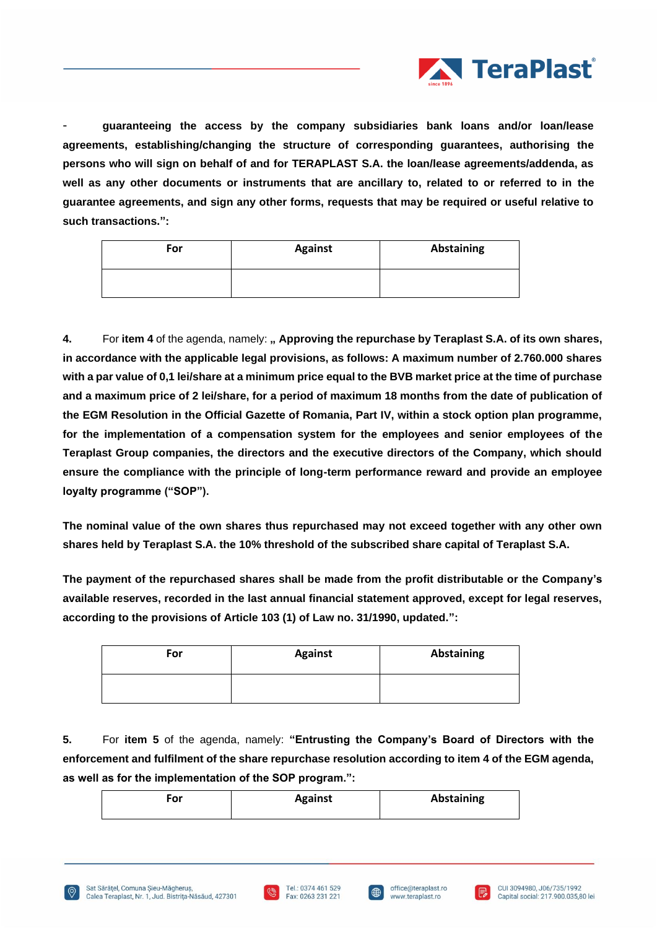

- **guaranteeing the access by the company subsidiaries bank loans and/or loan/lease agreements, establishing/changing the structure of corresponding guarantees, authorising the persons who will sign on behalf of and for TERAPLAST S.A. the loan/lease agreements/addenda, as well as any other documents or instruments that are ancillary to, related to or referred to in the guarantee agreements, and sign any other forms, requests that may be required or useful relative to such transactions.":**

| <b>For</b> | <b>Against</b> | <b>Abstaining</b> |
|------------|----------------|-------------------|
|            |                |                   |

**4.** For **item 4** of the agenda, namely: **" Approving the repurchase by Teraplast S.A. of its own shares, in accordance with the applicable legal provisions, as follows: A maximum number of 2.760.000 shares with a par value of 0,1 lei/share at a minimum price equal to the BVB market price at the time of purchase and a maximum price of 2 lei/share, for a period of maximum 18 months from the date of publication of the EGM Resolution in the Official Gazette of Romania, Part IV, within a stock option plan programme, for the implementation of a compensation system for the employees and senior employees of the Teraplast Group companies, the directors and the executive directors of the Company, which should ensure the compliance with the principle of long-term performance reward and provide an employee loyalty programme ("SOP").**

**The nominal value of the own shares thus repurchased may not exceed together with any other own shares held by Teraplast S.A. the 10% threshold of the subscribed share capital of Teraplast S.A.**

**The payment of the repurchased shares shall be made from the profit distributable or the Company's available reserves, recorded in the last annual financial statement approved, except for legal reserves, according to the provisions of Article 103 (1) of Law no. 31/1990, updated.":**

| For | <b>Against</b> | Abstaining |
|-----|----------------|------------|
|     |                |            |

**5.** For **item 5** of the agenda, namely: **"Entrusting the Company's Board of Directors with the enforcement and fulfilment of the share repurchase resolution according to item 4 of the EGM agenda, as well as for the implementation of the SOP program.":**

| n۳ | <b>Against</b> | <b>Abstaining</b> |
|----|----------------|-------------------|
|    |                |                   |





| 曲

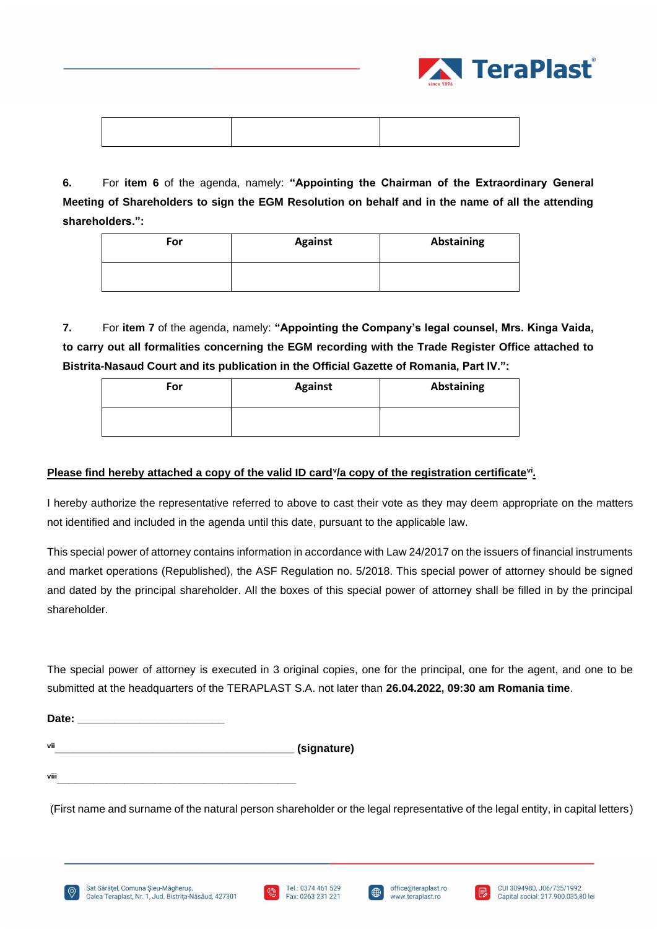

**6.** For **item 6** of the agenda, namely: **"Appointing the Chairman of the Extraordinary General Meeting of Shareholders to sign the EGM Resolution on behalf and in the name of all the attending shareholders.":**

| For | <b>Against</b> | Abstaining |
|-----|----------------|------------|
|     |                |            |

**7.** For **item 7** of the agenda, namely: **"Appointing the Company's legal counsel, Mrs. Kinga Vaida, to carry out all formalities concerning the EGM recording with the Trade Register Office attached to Bistrita-Nasaud Court and its publication in the Official Gazette of Romania, Part IV.":**

| For | <b>Against</b> | Abstaining |
|-----|----------------|------------|
|     |                |            |

# Please find hereby attached a copy of the valid ID card<sup>y</sup>/a copy of the registration certificate<sup>vi</sup>.

I hereby authorize the representative referred to above to cast their vote as they may deem appropriate on the matters not identified and included in the agenda until this date, pursuant to the applicable law.

This special power of attorney contains information in accordance with Law 24/2017 on the issuers of financial instruments and market operations (Republished), the ASF Regulation no. 5/2018. This special power of attorney should be signed and dated by the principal shareholder. All the boxes of this special power of attorney shall be filled in by the principal shareholder.

The special power of attorney is executed in 3 original copies, one for the principal, one for the agent, and one to be submitted at the headquarters of the TERAPLAST S.A. not later than **26.04.2022, 09:30 am Romania time**.

| Date: |             |
|-------|-------------|
| vii   | (signature) |

**viii\_\_\_\_\_\_\_\_\_\_\_\_\_\_\_\_\_\_\_\_\_\_\_\_\_\_\_\_\_\_\_\_\_\_\_\_\_\_\_**

(First name and surname of the natural person shareholder or the legal representative of the legal entity, in capital letters)

office@teraplast.ro

www.teraplast.ro

l ∰

CUI 3094980, J06/735/1992

Capital social: 217.900.035.80 lei

R



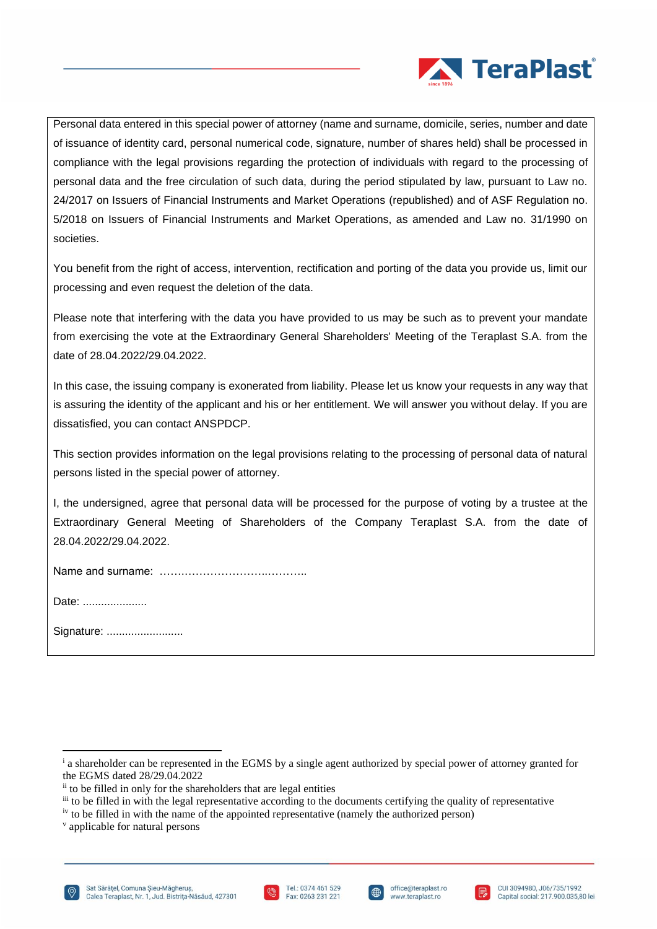

Personal data entered in this special power of attorney (name and surname, domicile, series, number and date of issuance of identity card, personal numerical code, signature, number of shares held) shall be processed in compliance with the legal provisions regarding the protection of individuals with regard to the processing of personal data and the free circulation of such data, during the period stipulated by law, pursuant to Law no. 24/2017 on Issuers of Financial Instruments and Market Operations (republished) and of ASF Regulation no. 5/2018 on Issuers of Financial Instruments and Market Operations, as amended and Law no. 31/1990 on societies.

You benefit from the right of access, intervention, rectification and porting of the data you provide us, limit our processing and even request the deletion of the data.

Please note that interfering with the data you have provided to us may be such as to prevent your mandate from exercising the vote at the Extraordinary General Shareholders' Meeting of the Teraplast S.A. from the date of 28.04.2022/29.04.2022.

In this case, the issuing company is exonerated from liability. Please let us know your requests in any way that is assuring the identity of the applicant and his or her entitlement. We will answer you without delay. If you are dissatisfied, you can contact ANSPDCP.

This section provides information on the legal provisions relating to the processing of personal data of natural persons listed in the special power of attorney.

I, the undersigned, agree that personal data will be processed for the purpose of voting by a trustee at the Extraordinary General Meeting of Shareholders of the Company Teraplast S.A. from the date of 28.04.2022/29.04.2022.

Name and surname: …….…………………..………..

Date: .....................

Signature: ............................





l ∰



<sup>&</sup>lt;sup>i</sup> a shareholder can be represented in the EGMS by a single agent authorized by special power of attorney granted for the EGMS dated 28/29.04.2022

ii to be filled in only for the shareholders that are legal entities

iii to be filled in with the legal representative according to the documents certifying the quality of representative

iv to be filled in with the name of the appointed representative (namely the authorized person)

v applicable for natural persons